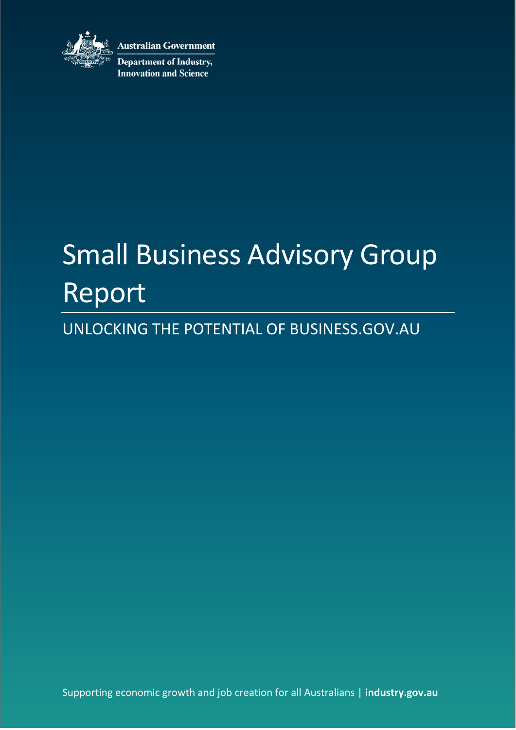

**Australian Government Department of Industry, Innovation and Science** 

# Small Business Advisory Group Report

### UNLOCKING THE POTENTIAL OF BUSINESS.GOV.AU

Supporting economic growth and job creation for all Australians | **industry.gov.au**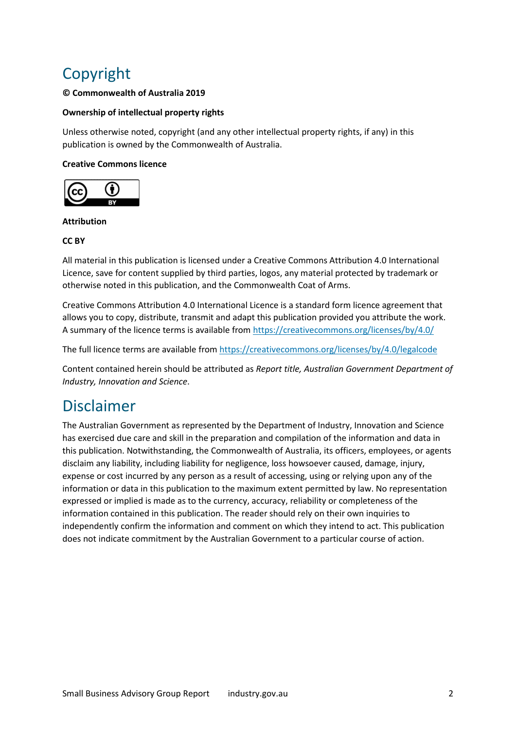### Copyright

### **© Commonwealth of Australia 2019**

### **Ownership of intellectual property rights**

Unless otherwise noted, copyright (and any other intellectual property rights, if any) in this publication is owned by the Commonwealth of Australia.

### **Creative Commons licence**



### **Attribution**

### **CC BY**

All material in this publication is licensed under a Creative Commons Attribution 4.0 International Licence, save for content supplied by third parties, logos, any material protected by trademark or otherwise noted in this publication, and the Commonwealth Coat of Arms.

Creative Commons Attribution 4.0 International Licence is a standard form licence agreement that allows you to copy, distribute, transmit and adapt this publication provided you attribute the work. A summary of the licence terms is available from<https://creativecommons.org/licenses/by/4.0/>

The full licence terms are available from<https://creativecommons.org/licenses/by/4.0/legalcode>

Content contained herein should be attributed as *Report title, Australian Government Department of Industry, Innovation and Science*.

### Disclaimer

The Australian Government as represented by the Department of Industry, Innovation and Science has exercised due care and skill in the preparation and compilation of the information and data in this publication. Notwithstanding, the Commonwealth of Australia, its officers, employees, or agents disclaim any liability, including liability for negligence, loss howsoever caused, damage, injury, expense or cost incurred by any person as a result of accessing, using or relying upon any of the information or data in this publication to the maximum extent permitted by law. No representation expressed or implied is made as to the currency, accuracy, reliability or completeness of the information contained in this publication. The reader should rely on their own inquiries to independently confirm the information and comment on which they intend to act. This publication does not indicate commitment by the Australian Government to a particular course of action.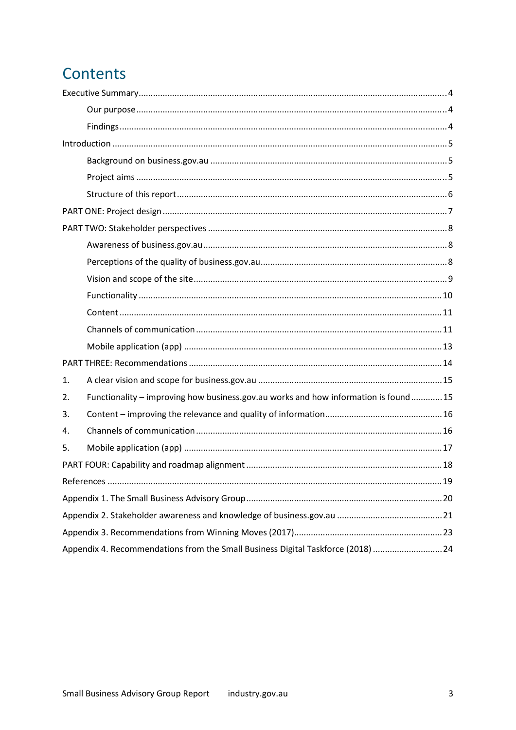### **Contents**

| 1. |                                                                                      |  |  |  |
|----|--------------------------------------------------------------------------------------|--|--|--|
| 2. | Functionality - improving how business.gov.au works and how information is found  15 |  |  |  |
| 3. |                                                                                      |  |  |  |
| 4. |                                                                                      |  |  |  |
| 5. |                                                                                      |  |  |  |
|    |                                                                                      |  |  |  |
|    |                                                                                      |  |  |  |
|    |                                                                                      |  |  |  |
|    |                                                                                      |  |  |  |
|    |                                                                                      |  |  |  |
|    | Appendix 4. Recommendations from the Small Business Digital Taskforce (2018)  24     |  |  |  |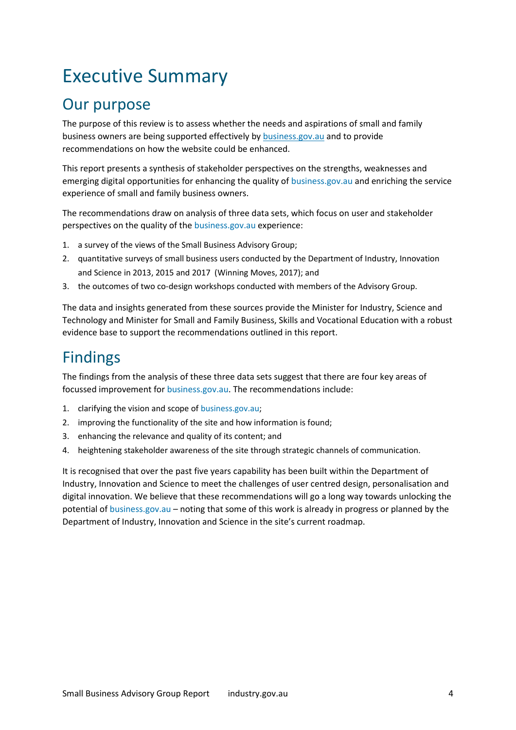# <span id="page-3-0"></span>Executive Summary

### <span id="page-3-1"></span>Our purpose

The purpose of this review is to assess whether the needs and aspirations of small and family business owners are being supported effectively by [business.gov.au](http://www.business.gov.au/) and to provide recommendations on how the website could be enhanced.

This report presents a synthesis of stakeholder perspectives on the strengths, weaknesses and emerging digital opportunities for enhancing the quality of business.gov.au and enriching the service experience of small and family business owners.

The recommendations draw on analysis of three data sets, which focus on user and stakeholder perspectives on the quality of the business.gov.au experience:

- 1. a survey of the views of the Small Business Advisory Group;
- 2. quantitative surveys of small business users conducted by the Department of Industry, Innovation and Science in 2013, 2015 and 2017 (Winning Moves, 2017); and
- 3. the outcomes of two co-design workshops conducted with members of the Advisory Group.

The data and insights generated from these sources provide the Minister for Industry, Science and Technology and Minister for Small and Family Business, Skills and Vocational Education with a robust evidence base to support the recommendations outlined in this report.

### <span id="page-3-2"></span>Findings

The findings from the analysis of these three data sets suggest that there are four key areas of focussed improvement for business.gov.au. The recommendations include:

- 1. clarifying the vision and scope of business.gov.au;
- 2. improving the functionality of the site and how information is found;
- 3. enhancing the relevance and quality of its content; and
- 4. heightening stakeholder awareness of the site through strategic channels of communication.

It is recognised that over the past five years capability has been built within the Department of Industry, Innovation and Science to meet the challenges of user centred design, personalisation and digital innovation. We believe that these recommendations will go a long way towards unlocking the potential of business.gov.au – noting that some of this work is already in progress or planned by the Department of Industry, Innovation and Science in the site's current roadmap.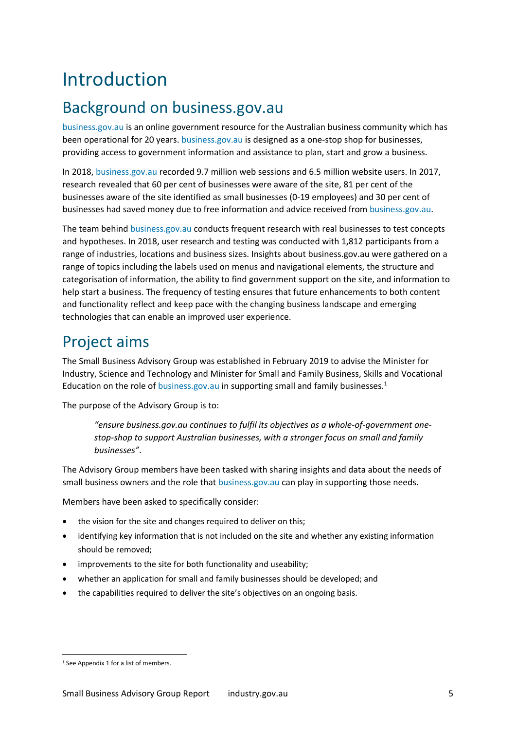# <span id="page-4-0"></span>Introduction

### <span id="page-4-1"></span>Background on business.gov.au

business.gov.au is an online government resource for the Australian business community which has been operational for 20 years. business.gov.au is designed as a one-stop shop for businesses, providing access to government information and assistance to plan, start and grow a business.

In 2018, business.gov.au recorded 9.7 million web sessions and 6.5 million website users. In 2017, research revealed that 60 per cent of businesses were aware of the site, 81 per cent of the businesses aware of the site identified as small businesses (0-19 employees) and 30 per cent of businesses had saved money due to free information and advice received from business.gov.au.

The team behind business.gov.au conducts frequent research with real businesses to test concepts and hypotheses. In 2018, user research and testing was conducted with 1,812 participants from a range of industries, locations and business sizes. Insights about business.gov.au were gathered on a range of topics including the labels used on menus and navigational elements, the structure and categorisation of information, the ability to find government support on the site, and information to help start a business. The frequency of testing ensures that future enhancements to both content and functionality reflect and keep pace with the changing business landscape and emerging technologies that can enable an improved user experience.

### <span id="page-4-2"></span>Project aims

The Small Business Advisory Group was established in February 2019 to advise the Minister for Industry, Science and Technology and Minister for Small and Family Business, Skills and Vocational Education on the role of business.gov.au in supporting small and family businesses. $1$ 

The purpose of the Advisory Group is to:

*"ensure [business.gov.au c](http://www.business.gov.au/)ontinues to fulfil its objectives as a whole-of-government onestop-shop to support Australian businesses, with a stronger focus on small and family businesses"*.

The Advisory Group members have been tasked with sharing insights and data about the needs of small business owners and the role that business.gov.au can play in supporting those needs.

Members have been asked to specifically consider:

- the vision for the site and changes required to deliver on this;
- identifying key information that is not included on the site and whether any existing information should be removed;
- improvements to the site for both functionality and useability;
- whether an application for small and family businesses should be developed; and
- the capabilities required to deliver the site's objectives on an ongoing basis.

<u>.</u>

<sup>&</sup>lt;sup>1</sup> See Appendix 1 for a list of members.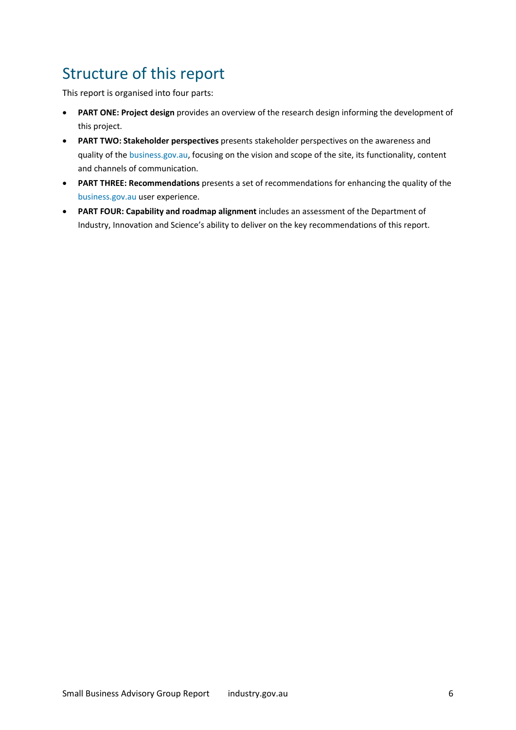### <span id="page-5-0"></span>Structure of this report

This report is organised into four parts:

- **PART ONE: Project design** provides an overview of the research design informing the development of this project.
- **PART TWO: Stakeholder perspectives** presents stakeholder perspectives on the awareness and quality of the business.gov.au, focusing on the vision and scope of the site, its functionality, content and channels of communication.
- **PART THREE: Recommendations** presents a set of recommendations for enhancing the quality of the business.gov.au user experience.
- **PART FOUR: Capability and roadmap alignment** includes an assessment of the Department of Industry, Innovation and Science's ability to deliver on the key recommendations of this report.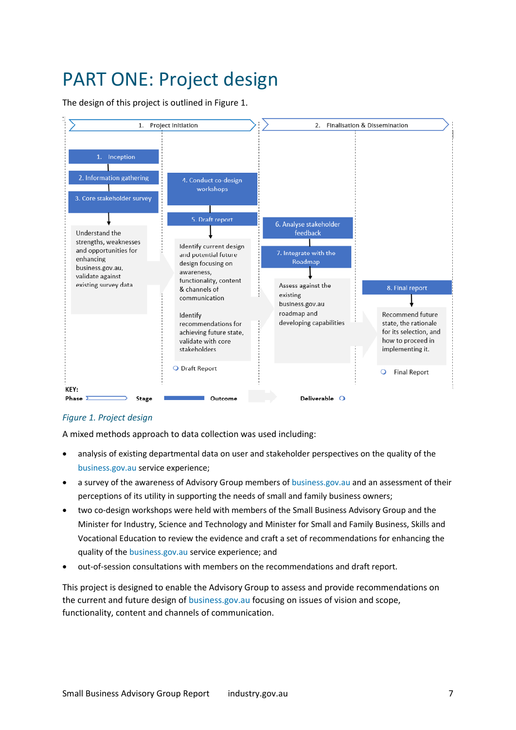# <span id="page-6-0"></span>PART ONE: Project design

The design of this project is outlined in Figure 1.



### *Figure 1. Project design*

A mixed methods approach to data collection was used including:

- analysis of existing departmental data on user and stakeholder perspectives on the quality of the business.gov.au service experience;
- a survey of the awareness of Advisory Group members of business.gov.au and an assessment of their perceptions of its utility in supporting the needs of small and family business owners;
- two co-design workshops were held with members of the Small Business Advisory Group and the Minister for Industry, Science and Technology and Minister for Small and Family Business, Skills and Vocational Education to review the evidence and craft a set of recommendations for enhancing the quality of the business.gov.au service experience; and
- out-of-session consultations with members on the recommendations and draft report.

This project is designed to enable the Advisory Group to assess and provide recommendations on the current and future design of business.gov.au focusing on issues of vision and scope, functionality, content and channels of communication.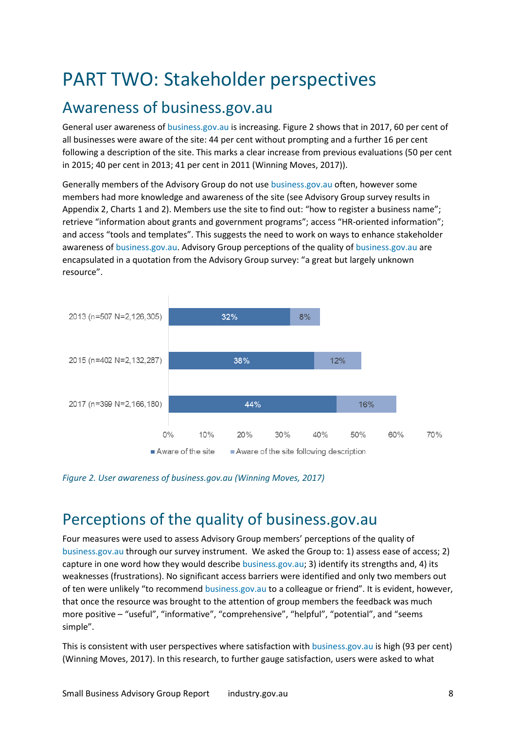# <span id="page-7-0"></span>PART TWO: Stakeholder perspectives

### <span id="page-7-1"></span>Awareness of business.gov.au

General user awareness of business.gov.au is increasing. [Figure 2](#page-7-3) shows that in 2017, 60 per cent of all businesses were aware of the site: 44 per cent without prompting and a further 16 per cent following a description of the site. This marks a clear increase from previous evaluations (50 per cent in 2015; 40 per cent in 2013; 41 per cent in 2011 (Winning Moves, 2017)).

Generally members of the Advisory Group do not use business.gov.au often, however some members had more knowledge and awareness of the site (see Advisory Group survey results in Appendix 2, Charts 1 and 2). Members use the site to find out: "how to register a business name"; retrieve "information about grants and government programs"; access "HR-oriented information"; and access "tools and templates". This suggests the need to work on ways to enhance stakeholder awareness of business.gov.au. Advisory Group perceptions of the quality of business.gov.au are encapsulated in a quotation from the Advisory Group survey: "a great but largely unknown resource".



<span id="page-7-3"></span>

### <span id="page-7-2"></span>Perceptions of the quality of business.gov.au

Four measures were used to assess Advisory Group members' perceptions of the quality of business.gov.au through our survey instrument. We asked the Group to: 1) assess ease of access; 2) capture in one word how they would describe business.gov.au; 3) identify its strengths and, 4) its weaknesses (frustrations). No significant access barriers were identified and only two members out of ten were unlikely "to recommend business.gov.au to a colleague or friend". It is evident, however, that once the resource was brought to the attention of group members the feedback was much more positive – "useful", "informative", "comprehensive", "helpful", "potential", and "seems simple".

This is consistent with user perspectives where satisfaction with business.gov.au is high (93 per cent) (Winning Moves, 2017). In this research, to further gauge satisfaction, users were asked to what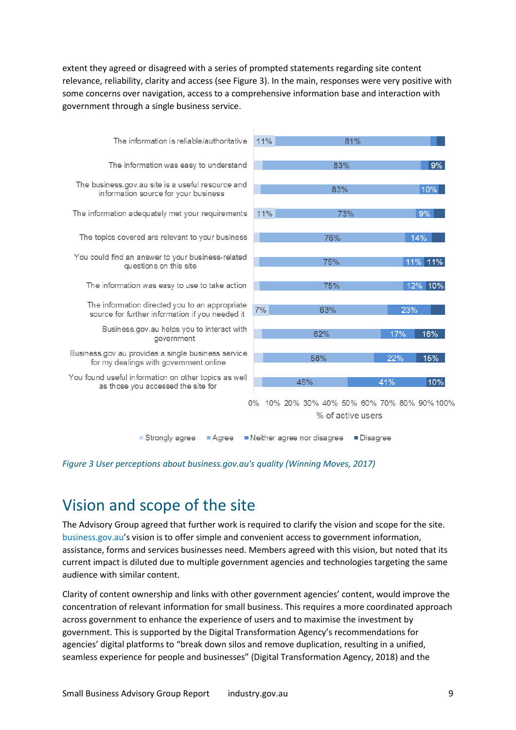extent they agreed or disagreed with a series of prompted statements regarding site content relevance, reliability, clarity and access (see Figure 3). In the main, responses were very positive with some concerns over navigation, access to a comprehensive information base and interaction with government through a single business service.



*Figure 3 User perceptions about business.gov.au's quality (Winning Moves, 2017)* 

### <span id="page-8-0"></span>Vision and scope of the site

The Advisory Group agreed that further work is required to clarify the vision and scope for the site. business.gov.au's vision is to offer simple and convenient access to government information, assistance, forms and services businesses need. Members agreed with this vision, but noted that its current impact is diluted due to multiple government agencies and technologies targeting the same audience with similar content.

Clarity of content ownership and links with other government agencies' content, would improve the concentration of relevant information for small business. This requires a more coordinated approach across government to enhance the experience of users and to maximise the investment by government. This is supported by the Digital Transformation Agency's recommendations for agencies' digital platforms to "break down silos and remove duplication, resulting in a unified, seamless experience for people and businesses" (Digital Transformation Agency, 2018) and the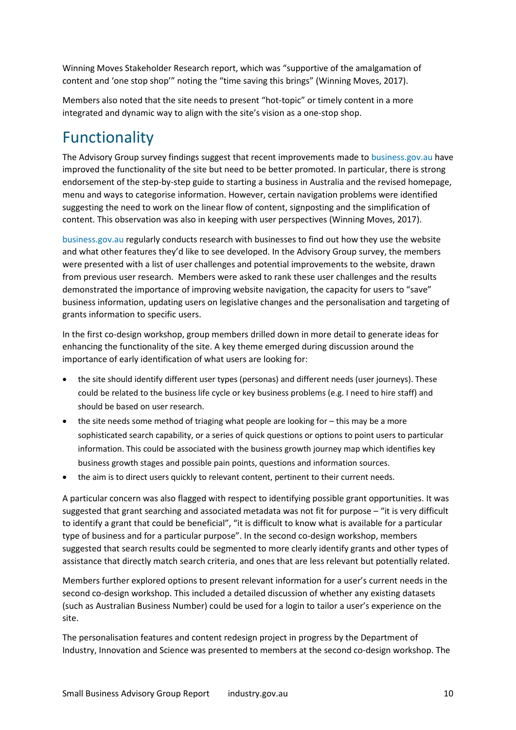Winning Moves Stakeholder Research report, which was "supportive of the amalgamation of content and 'one stop shop'" noting the "time saving this brings" (Winning Moves, 2017).

Members also noted that the site needs to present "hot-topic" or timely content in a more integrated and dynamic way to align with the site's vision as a one-stop shop.

### <span id="page-9-0"></span>Functionality

The Advisory Group survey findings suggest that recent improvements made to business.gov.au have improved the functionality of the site but need to be better promoted. In particular, there is strong endorsement of the step-by-step guide to starting a business in Australia and the revised homepage, menu and ways to categorise information. However, certain navigation problems were identified suggesting the need to work on the linear flow of content, signposting and the simplification of content. This observation was also in keeping with user perspectives (Winning Moves, 2017).

business.gov.au regularly conducts research with businesses to find out how they use the website and what other features they'd like to see developed. In the Advisory Group survey, the members were presented with a list of user challenges and potential improvements to the website, drawn from previous user research. Members were asked to rank these user challenges and the results demonstrated the importance of improving website navigation, the capacity for users to "save" business information, updating users on legislative changes and the personalisation and targeting of grants information to specific users.

In the first co-design workshop, group members drilled down in more detail to generate ideas for enhancing the functionality of the site. A key theme emerged during discussion around the importance of early identification of what users are looking for:

- the site should identify different user types (personas) and different needs (user journeys). These could be related to the business life cycle or key business problems (e.g. I need to hire staff) and should be based on user research.
- the site needs some method of triaging what people are looking for this may be a more sophisticated search capability, or a series of quick questions or options to point users to particular information. This could be associated with the business growth journey map which identifies key business growth stages and possible pain points, questions and information sources.
- the aim is to direct users quickly to relevant content, pertinent to their current needs.

A particular concern was also flagged with respect to identifying possible grant opportunities. It was suggested that grant searching and associated metadata was not fit for purpose – "it is very difficult to identify a grant that could be beneficial", "it is difficult to know what is available for a particular type of business and for a particular purpose". In the second co-design workshop, members suggested that search results could be segmented to more clearly identify grants and other types of assistance that directly match search criteria, and ones that are less relevant but potentially related.

Members further explored options to present relevant information for a user's current needs in the second co-design workshop. This included a detailed discussion of whether any existing datasets (such as Australian Business Number) could be used for a login to tailor a user's experience on the site.

The personalisation features and content redesign project in progress by the Department of Industry, Innovation and Science was presented to members at the second co-design workshop. The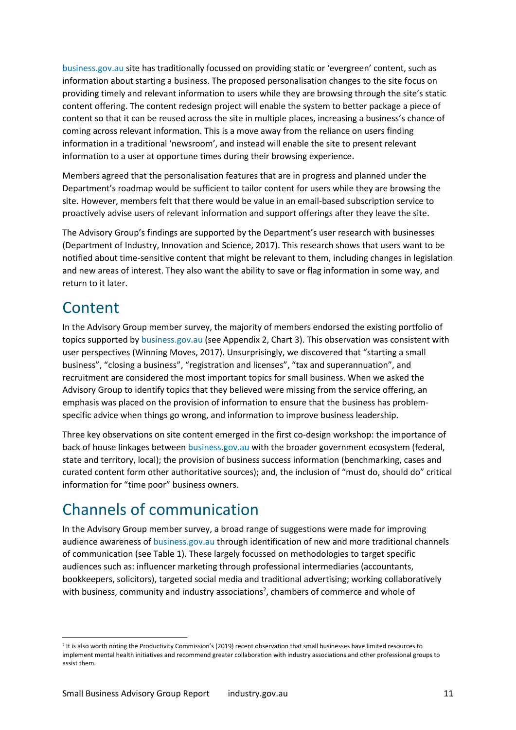business.gov.au site has traditionally focussed on providing static or 'evergreen' content, such as information about starting a business. The proposed personalisation changes to the site focus on providing timely and relevant information to users while they are browsing through the site's static content offering. The content redesign project will enable the system to better package a piece of content so that it can be reused across the site in multiple places, increasing a business's chance of coming across relevant information. This is a move away from the reliance on users finding information in a traditional 'newsroom', and instead will enable the site to present relevant information to a user at opportune times during their browsing experience.

Members agreed that the personalisation features that are in progress and planned under the Department's roadmap would be sufficient to tailor content for users while they are browsing the site. However, members felt that there would be value in an email-based subscription service to proactively advise users of relevant information and support offerings after they leave the site.

The Advisory Group's findings are supported by the Department's user research with businesses (Department of Industry, Innovation and Science, 2017). This research shows that users want to be notified about time-sensitive content that might be relevant to them, including changes in legislation and new areas of interest. They also want the ability to save or flag information in some way, and return to it later.

### <span id="page-10-0"></span>Content

<u>.</u>

In the Advisory Group member survey, the majority of members endorsed the existing portfolio of topics supported by business.gov.au (see Appendix 2, Chart 3). This observation was consistent with user perspectives (Winning Moves, 2017). Unsurprisingly, we discovered that "starting a small business", "closing a business", "registration and licenses", "tax and superannuation", and recruitment are considered the most important topics for small business. When we asked the Advisory Group to identify topics that they believed were missing from the service offering, an emphasis was placed on the provision of information to ensure that the business has problemspecific advice when things go wrong, and information to improve business leadership.

Three key observations on site content emerged in the first co-design workshop: the importance of back of house linkages between business.gov.au with the broader government ecosystem (federal, state and territory, local); the provision of business success information (benchmarking, cases and curated content form other authoritative sources); and, the inclusion of "must do, should do" critical information for "time poor" business owners.

### <span id="page-10-1"></span>Channels of communication

In the Advisory Group member survey, a broad range of suggestions were made for improving audience awareness of business.gov.au through identification of new and more traditional channels of communication (see Table 1). These largely focussed on methodologies to target specific audiences such as: influencer marketing through professional intermediaries (accountants, bookkeepers, solicitors), targeted social media and traditional advertising; working collaboratively with business, community and industry associations<sup>2</sup>, chambers of commerce and whole of

<sup>&</sup>lt;sup>2</sup> It is also worth noting the Productivity Commission's (2019) recent observation that small businesses have limited resources to implement mental health initiatives and recommend greater collaboration with industry associations and other professional groups to assist them.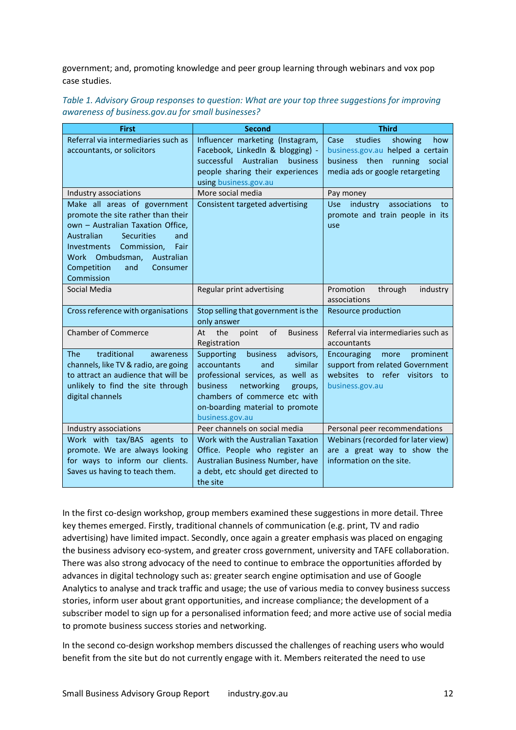government; and, promoting knowledge and peer group learning through webinars and vox pop case studies.

| Table 1. Advisory Group responses to question: What are your top three suggestions for improving |  |
|--------------------------------------------------------------------------------------------------|--|
| awareness of business.gov.au for small businesses?                                               |  |

| <b>First</b>                           | <b>Second</b>                                                             | <b>Third</b>                                                    |
|----------------------------------------|---------------------------------------------------------------------------|-----------------------------------------------------------------|
| Referral via intermediaries such as    | Influencer marketing (Instagram,                                          | studies<br>showing<br>Case<br>how                               |
| accountants, or solicitors             | Facebook, LinkedIn & blogging) -<br>successful<br>Australian<br>business  | business.gov.au helped a certain                                |
|                                        | people sharing their experiences                                          | business then running social<br>media ads or google retargeting |
|                                        | using business.gov.au                                                     |                                                                 |
| Industry associations                  | More social media                                                         | Pay money                                                       |
| Make all areas of government           | Consistent targeted advertising                                           | associations<br>industry<br>Use:<br>to                          |
| promote the site rather than their     |                                                                           | promote and train people in its                                 |
| own - Australian Taxation Office.      |                                                                           | use                                                             |
| Australian<br><b>Securities</b><br>and |                                                                           |                                                                 |
| Commission,<br>Investments<br>Fair     |                                                                           |                                                                 |
| Work Ombudsman, Australian             |                                                                           |                                                                 |
| Competition<br>and<br>Consumer         |                                                                           |                                                                 |
| Commission                             |                                                                           |                                                                 |
| Social Media                           | Regular print advertising                                                 | Promotion<br>through<br>industry                                |
|                                        |                                                                           | associations                                                    |
| Cross reference with organisations     | Stop selling that government is the                                       | Resource production                                             |
|                                        | only answer                                                               |                                                                 |
| <b>Chamber of Commerce</b>             | the<br>point<br>of<br><b>Business</b><br>At                               | Referral via intermediaries such as                             |
|                                        | Registration                                                              | accountants                                                     |
| traditional<br><b>The</b><br>awareness | Supporting<br>business<br>advisors,                                       | Encouraging<br>prominent<br>more                                |
| channels, like TV & radio, are going   | <b>accountants</b><br>and<br>similar                                      | support from related Government                                 |
| to attract an audience that will be    | professional services, as well as                                         | websites to refer visitors to                                   |
| unlikely to find the site through      | <b>business</b><br>networking<br>groups,<br>chambers of commerce etc with | business.gov.au                                                 |
| digital channels                       | on-boarding material to promote                                           |                                                                 |
|                                        | business.gov.au                                                           |                                                                 |
| Industry associations                  | Peer channels on social media                                             | Personal peer recommendations                                   |
| Work with tax/BAS agents to            | Work with the Australian Taxation                                         | Webinars (recorded for later view)                              |
| promote. We are always looking         | Office. People who register an                                            | are a great way to show the                                     |
| for ways to inform our clients.        | Australian Business Number, have                                          | information on the site.                                        |
| Saves us having to teach them.         | a debt, etc should get directed to                                        |                                                                 |
|                                        | the site                                                                  |                                                                 |

In the first co-design workshop, group members examined these suggestions in more detail. Three key themes emerged. Firstly, traditional channels of communication (e.g. print, TV and radio advertising) have limited impact. Secondly, once again a greater emphasis was placed on engaging the business advisory eco-system, and greater cross government, university and TAFE collaboration. There was also strong advocacy of the need to continue to embrace the opportunities afforded by advances in digital technology such as: greater search engine optimisation and use of Google Analytics to analyse and track traffic and usage; the use of various media to convey business success stories, inform user about grant opportunities, and increase compliance; the development of a subscriber model to sign up for a personalised information feed; and more active use of social media to promote business success stories and networking.

In the second co-design workshop members discussed the challenges of reaching users who would benefit from the site but do not currently engage with it. Members reiterated the need to use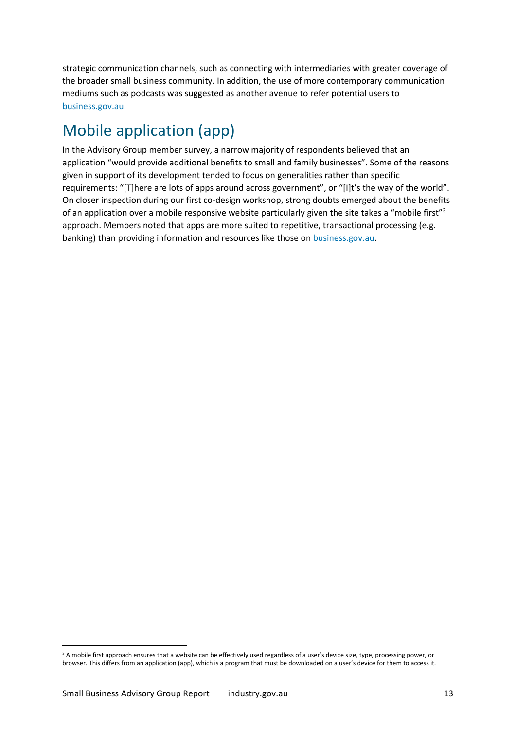strategic communication channels, such as connecting with intermediaries with greater coverage of the broader small business community. In addition, the use of more contemporary communication mediums such as podcasts was suggested as another avenue to refer potential users to [business.gov.au.](http://www.business.gov.au/)

### <span id="page-12-0"></span>Mobile application (app)

In the Advisory Group member survey, a narrow majority of respondents believed that an application "would provide additional benefits to small and family businesses". Some of the reasons given in support of its development tended to focus on generalities rather than specific requirements: "[T]here are lots of apps around across government", or "[I]t's the way of the world". On closer inspection during our first co-design workshop, strong doubts emerged about the benefits of an application over a mobile responsive website particularly given the site takes a "mobile first"<sup>3</sup> approach. Members noted that apps are more suited to repetitive, transactional processing (e.g. banking) than providing information and resources like those on business.gov.au.

<u>.</u>

<sup>&</sup>lt;sup>3</sup> A mobile first approach ensures that a website can be effectively used regardless of a user's device size, type, processing power, or browser. This differs from an application (app), which is a program that must be downloaded on a user's device for them to access it.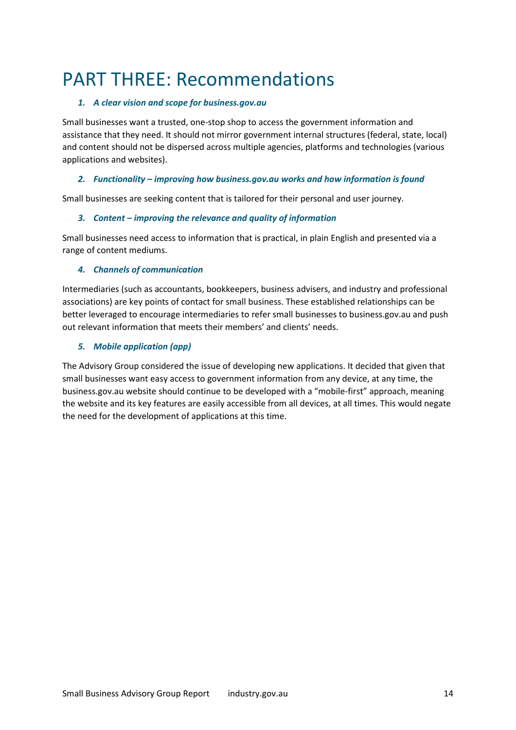## <span id="page-13-0"></span>PART THREE: Recommendations

### *1. A clear vision and scope for business.gov.au*

Small businesses want a trusted, one-stop shop to access the government information and assistance that they need. It should not mirror government internal structures (federal, state, local) and content should not be dispersed across multiple agencies, platforms and technologies (various applications and websites).

### *2. Functionality – improving how business.gov.au works and how information is found*

Small businesses are seeking content that is tailored for their personal and user journey.

### *3. Content – improving the relevance and quality of information*

Small businesses need access to information that is practical, in plain English and presented via a range of content mediums.

### *4. Channels of communication*

Intermediaries (such as accountants, bookkeepers, business advisers, and industry and professional associations) are key points of contact for small business. These established relationships can be better leveraged to encourage intermediaries to refer small businesses to business.gov.au and push out relevant information that meets their members' and clients' needs.

### *5. Mobile application (app)*

The Advisory Group considered the issue of developing new applications. It decided that given that small businesses want easy access to government information from any device, at any time, the business.gov.au website should continue to be developed with a "mobile-first" approach, meaning the website and its key features are easily accessible from all devices, at all times. This would negate the need for the development of applications at this time.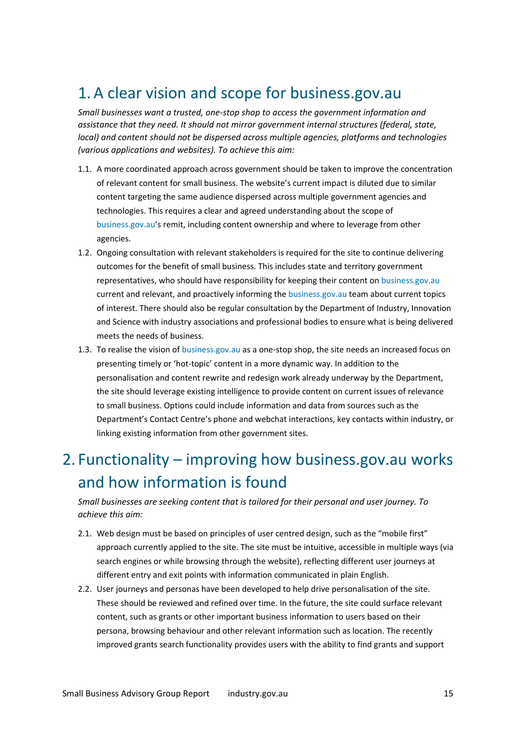### <span id="page-14-0"></span>1.A clear vision and scope for business.gov.au

*Small businesses want a trusted, one-stop shop to access the government information and assistance that they need. It should not mirror government internal structures (federal, state, local) and content should not be dispersed across multiple agencies, platforms and technologies (various applications and websites). To achieve this aim:* 

- 1.1. A more coordinated approach across government should be taken to improve the concentration of relevant content for small business. The website's current impact is diluted due to similar content targeting the same audience dispersed across multiple government agencies and technologies. This requires a clear and agreed understanding about the scope of [business.gov.au'](http://www.business.gov.au/)s remit, including content ownership and where to leverage from other agencies.
- 1.2. Ongoing consultation with relevant stakeholders is required for the site to continue delivering outcomes for the benefit of small business. This includes state and territory government representatives, who should have responsibility for keeping their content on business.gov.au current and relevant, and proactively informing the business.gov.au team about current topics of interest. There should also be regular consultation by the Department of Industry, Innovation and Science with industry associations and professional bodies to ensure what is being delivered meets the needs of business.
- 1.3. To realise the vision of business.gov.au as a one-stop shop, the site needs an increased focus on presenting timely or 'hot-topic' content in a more dynamic way. In addition to the personalisation and content rewrite and redesign work already underway by the Department, the site should leverage existing intelligence to provide content on current issues of relevance to small business. Options could include information and data from sources such as the Department's Contact Centre's phone and webchat interactions, key contacts within industry, or linking existing information from other government sites.

### <span id="page-14-1"></span>2. Functionality – improving how business.gov.au works and how information is found

*Small businesses are seeking content that is tailored for their personal and user journey. To achieve this aim:* 

- 2.1. Web design must be based on principles of user centred design, such as the "mobile first" approach currently applied to the site. The site must be intuitive, accessible in multiple ways (via search engines or while browsing through the website), reflecting different user journeys at different entry and exit points with information communicated in plain English.
- 2.2. User journeys and personas have been developed to help drive personalisation of the site. These should be reviewed and refined over time. In the future, the site could surface relevant content, such as grants or other important business information to users based on their persona, browsing behaviour and other relevant information such as location. The recently improved grants search functionality provides users with the ability to find grants and support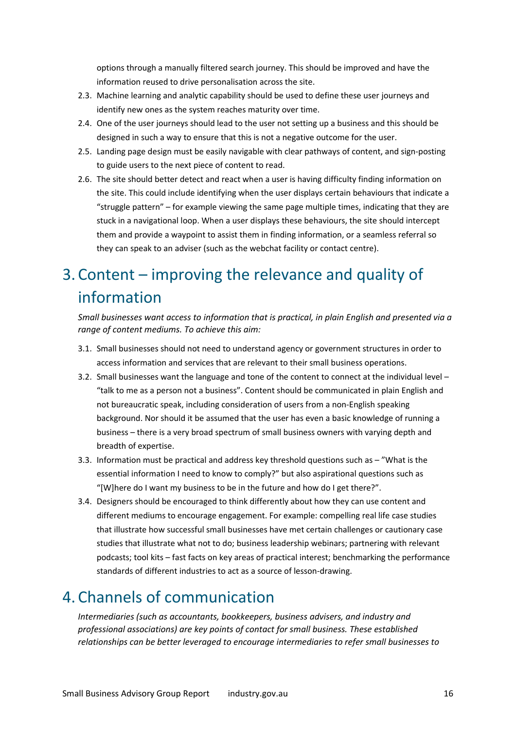options through a manually filtered search journey. This should be improved and have the information reused to drive personalisation across the site.

- 2.3. Machine learning and analytic capability should be used to define these user journeys and identify new ones as the system reaches maturity over time.
- 2.4. One of the user journeys should lead to the user not setting up a business and this should be designed in such a way to ensure that this is not a negative outcome for the user.
- 2.5. Landing page design must be easily navigable with clear pathways of content, and sign-posting to guide users to the next piece of content to read.
- 2.6. The site should better detect and react when a user is having difficulty finding information on the site. This could include identifying when the user displays certain behaviours that indicate a "struggle pattern" – for example viewing the same page multiple times, indicating that they are stuck in a navigational loop. When a user displays these behaviours, the site should intercept them and provide a waypoint to assist them in finding information, or a seamless referral so they can speak to an adviser (such as the webchat facility or contact centre).

### <span id="page-15-0"></span>3. Content – improving the relevance and quality of information

*Small businesses want access to information that is practical, in plain English and presented via a range of content mediums. To achieve this aim:* 

- 3.1. Small businesses should not need to understand agency or government structures in order to access information and services that are relevant to their small business operations.
- 3.2. Small businesses want the language and tone of the content to connect at the individual level "talk to me as a person not a business". Content should be communicated in plain English and not bureaucratic speak, including consideration of users from a non-English speaking background. Nor should it be assumed that the user has even a basic knowledge of running a business – there is a very broad spectrum of small business owners with varying depth and breadth of expertise.
- 3.3. Information must be practical and address key threshold questions such as "What is the essential information I need to know to comply?" but also aspirational questions such as "[W]here do I want my business to be in the future and how do I get there?".
- 3.4. Designers should be encouraged to think differently about how they can use content and different mediums to encourage engagement. For example: compelling real life case studies that illustrate how successful small businesses have met certain challenges or cautionary case studies that illustrate what not to do; business leadership webinars; partnering with relevant podcasts; tool kits – fast facts on key areas of practical interest; benchmarking the performance standards of different industries to act as a source of lesson-drawing.

### <span id="page-15-1"></span>4. Channels of communication

*Intermediaries (such as accountants, bookkeepers, business advisers, and industry and professional associations) are key points of contact for small business. These established relationships can be better leveraged to encourage intermediaries to refer small businesses to*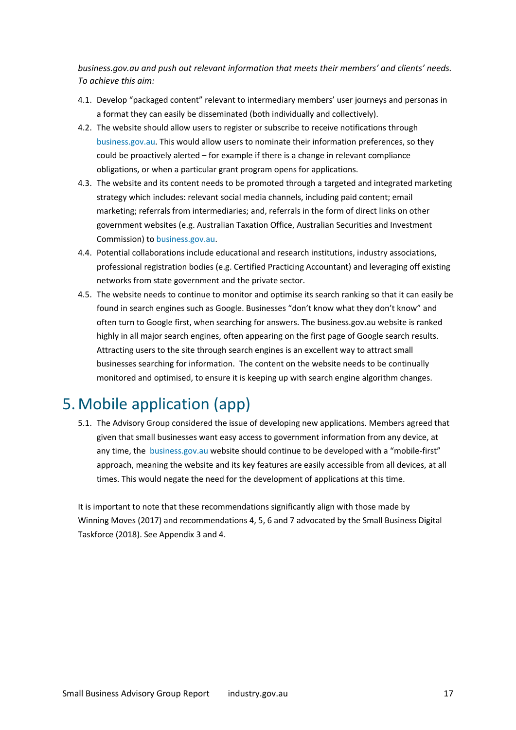*business.gov.au and push out relevant information that meets their members' and clients' needs. To achieve this aim:* 

- 4.1. Develop "packaged content" relevant to intermediary members' user journeys and personas in a format they can easily be disseminated (both individually and collectively).
- 4.2. The website should allow users to register or subscribe to receive notifications through business.gov.au. This would allow users to nominate their information preferences, so they could be proactively alerted – for example if there is a change in relevant compliance obligations, or when a particular grant program opens for applications.
- 4.3. The website and its content needs to be promoted through a targeted and integrated marketing strategy which includes: relevant social media channels, including paid content; email marketing; referrals from intermediaries; and, referrals in the form of direct links on other government websites (e.g. Australian Taxation Office, Australian Securities and Investment Commission) to business.gov.au.
- 4.4. Potential collaborations include educational and research institutions, industry associations, professional registration bodies (e.g. Certified Practicing Accountant) and leveraging off existing networks from state government and the private sector.
- 4.5. The website needs to continue to monitor and optimise its search ranking so that it can easily be found in search engines such as Google. Businesses "don't know what they don't know" and often turn to Google first, when searching for answers. The business.gov.au website is ranked highly in all major search engines, often appearing on the first page of Google search results. Attracting users to the site through search engines is an excellent way to attract small businesses searching for information. The content on the website needs to be continually monitored and optimised, to ensure it is keeping up with search engine algorithm changes.

### <span id="page-16-0"></span>5.Mobile application (app)

5.1. The Advisory Group considered the issue of developing new applications. Members agreed that given that small businesses want easy access to government information from any device, at any time, the business.gov.au website should continue to be developed with a "mobile-first" approach, meaning the website and its key features are easily accessible from all devices, at all times. This would negate the need for the development of applications at this time.

It is important to note that these recommendations significantly align with those made by Winning Moves (2017) and recommendations 4, 5, 6 and 7 advocated by the Small Business Digital Taskforce (2018). See Appendix 3 and 4.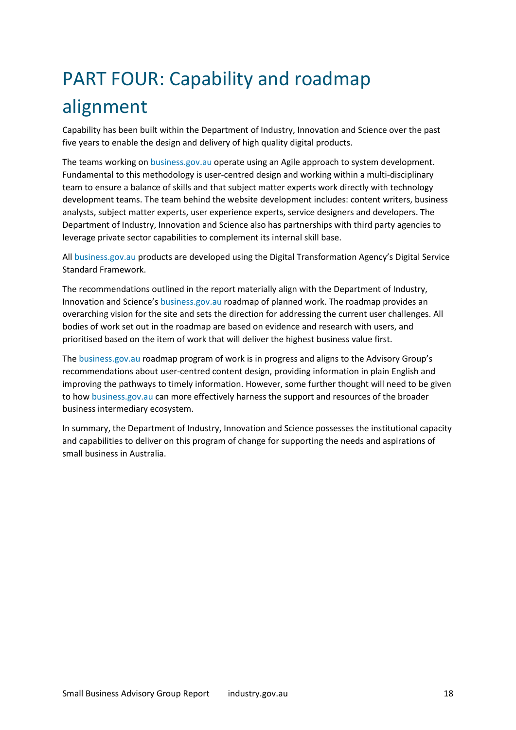# <span id="page-17-0"></span>PART FOUR: Capability and roadmap alignment

Capability has been built within the Department of Industry, Innovation and Science over the past five years to enable the design and delivery of high quality digital products.

The teams working on business.gov.au operate using an Agile approach to system development. Fundamental to this methodology is user-centred design and working within a multi-disciplinary team to ensure a balance of skills and that subject matter experts work directly with technology development teams. The team behind the website development includes: content writers, business analysts, subject matter experts, user experience experts, service designers and developers. The Department of Industry, Innovation and Science also has partnerships with third party agencies to leverage private sector capabilities to complement its internal skill base.

All business.gov.au products are developed using the Digital Transformation Agency's Digital Service Standard Framework.

The recommendations outlined in the report materially align with the Department of Industry, Innovation and Science's business.gov.au roadmap of planned work. The roadmap provides an overarching vision for the site and sets the direction for addressing the current user challenges. All bodies of work set out in the roadmap are based on evidence and research with users, and prioritised based on the item of work that will deliver the highest business value first.

The business.gov.au roadmap program of work is in progress and aligns to the Advisory Group's recommendations about user-centred content design, providing information in plain English and improving the pathways to timely information. However, some further thought will need to be given to how [business.gov.au](http://www.business.gov.au/) can more effectively harness the support and resources of the broader business intermediary ecosystem.

In summary, the Department of Industry, Innovation and Science possesses the institutional capacity and capabilities to deliver on this program of change for supporting the needs and aspirations of small business in Australia.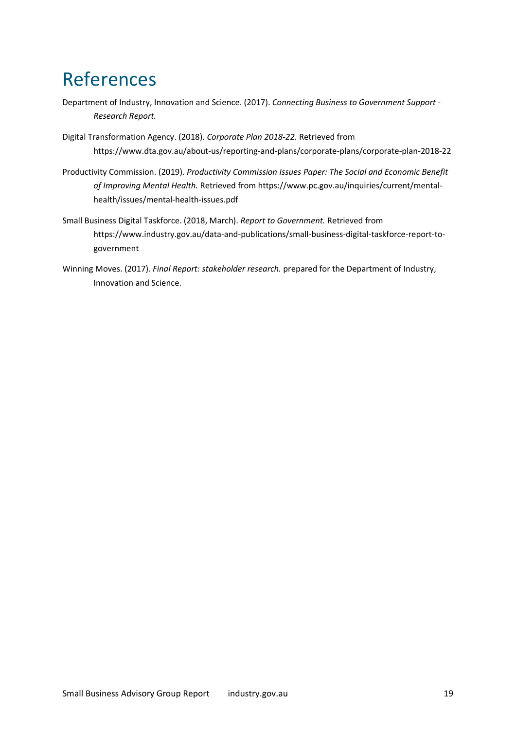# <span id="page-18-0"></span>References

- Department of Industry, Innovation and Science. (2017). *Connecting Business to Government Support Research Report.*
- Digital Transformation Agency. (2018). *Corporate Plan 2018-22.* Retrieved from https://www.dta.gov.au/about-us/reporting-and-plans/corporate-plans/corporate-plan-2018-22
- Productivity Commission. (2019). *Productivity Commission Issues Paper: The Social and Economic Benefit of Improving Mental Health.* Retrieved from https://www.pc.gov.au/inquiries/current/mentalhealth/issues/mental-health-issues.pdf
- Small Business Digital Taskforce. (2018, March). *Report to Government.* Retrieved from https://www.industry.gov.au/data-and-publications/small-business-digital-taskforce-report-togovernment
- Winning Moves. (2017). *Final Report: stakeholder research.* prepared for the Department of Industry, Innovation and Science.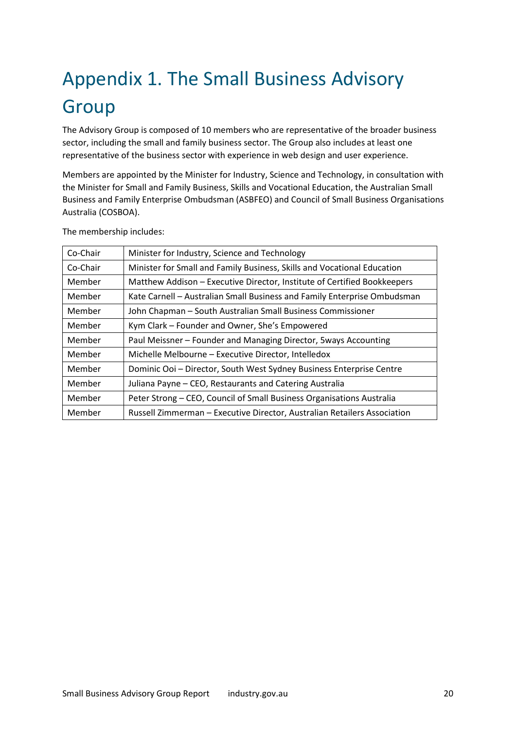# <span id="page-19-0"></span>Appendix 1. The Small Business Advisory **Group**

The Advisory Group is composed of 10 members who are representative of the broader business sector, including the small and family business sector. The Group also includes at least one representative of the business sector with experience in web design and user experience.

Members are appointed by the Minister for Industry, Science and Technology, in consultation with the Minister for Small and Family Business, Skills and Vocational Education, the Australian Small Business and Family Enterprise Ombudsman (ASBFEO) and Council of Small Business Organisations Australia (COSBOA).

| Co-Chair | Minister for Industry, Science and Technology                            |
|----------|--------------------------------------------------------------------------|
| Co-Chair | Minister for Small and Family Business, Skills and Vocational Education  |
| Member   | Matthew Addison - Executive Director, Institute of Certified Bookkeepers |
| Member   | Kate Carnell - Australian Small Business and Family Enterprise Ombudsman |
| Member   | John Chapman - South Australian Small Business Commissioner              |
| Member   | Kym Clark - Founder and Owner, She's Empowered                           |
| Member   | Paul Meissner - Founder and Managing Director, 5ways Accounting          |
| Member   | Michelle Melbourne - Executive Director, Intelledox                      |
| Member   | Dominic Ooi - Director, South West Sydney Business Enterprise Centre     |
| Member   | Juliana Payne - CEO, Restaurants and Catering Australia                  |
| Member   | Peter Strong – CEO, Council of Small Business Organisations Australia    |
| Member   | Russell Zimmerman - Executive Director, Australian Retailers Association |

The membership includes: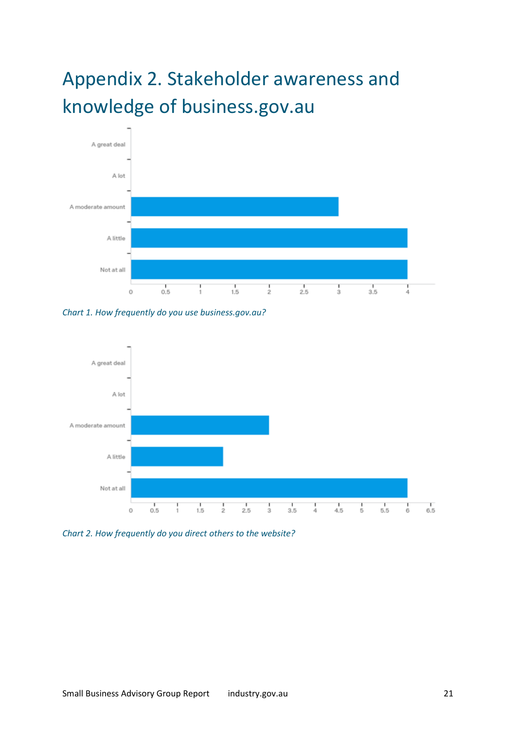# <span id="page-20-0"></span>Appendix 2. Stakeholder awareness and knowledge of business.gov.au



*Chart 1. How frequently do you use business.gov.au?* 



*Chart 2. How frequently do you direct others to the website?*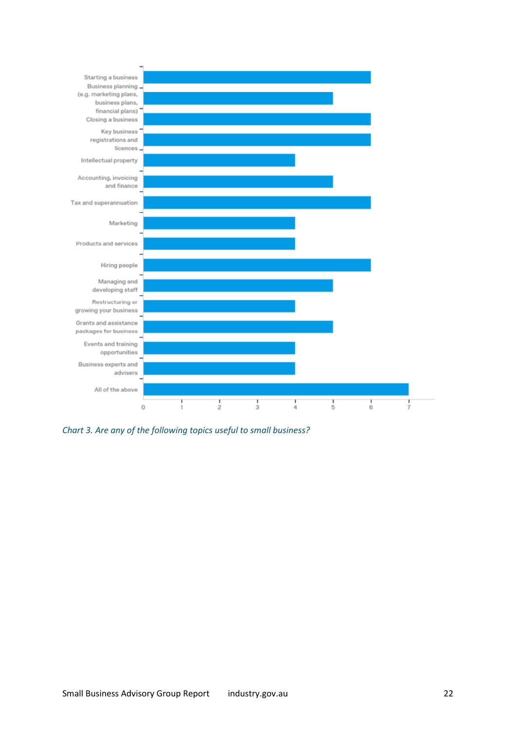

*Chart 3. Are any of the following topics useful to small business?*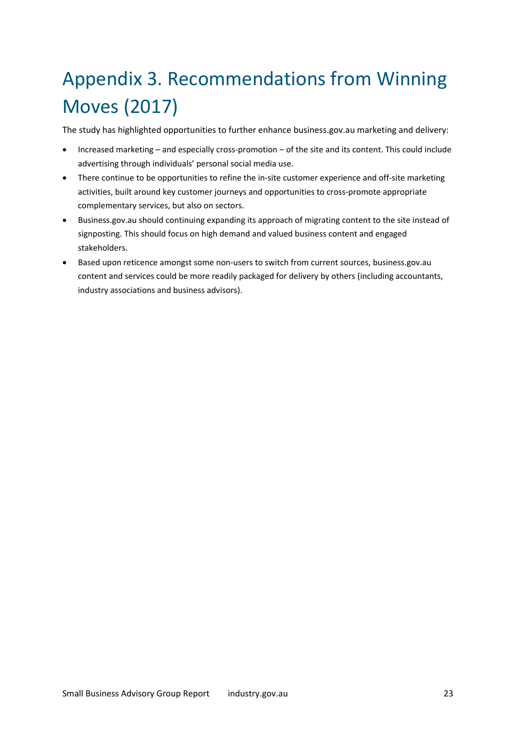# <span id="page-22-0"></span>Appendix 3. Recommendations from Winning Moves (2017)

The study has highlighted opportunities to further enhance business.gov.au marketing and delivery:

- Increased marketing and especially cross-promotion of the site and its content. This could include advertising through individuals' personal social media use.
- There continue to be opportunities to refine the in-site customer experience and off-site marketing activities, built around key customer journeys and opportunities to cross-promote appropriate complementary services, but also on sectors.
- Business.gov.au should continuing expanding its approach of migrating content to the site instead of signposting. This should focus on high demand and valued business content and engaged stakeholders.
- Based upon reticence amongst some non-users to switch from current sources, business.gov.au content and services could be more readily packaged for delivery by others (including accountants, industry associations and business advisors).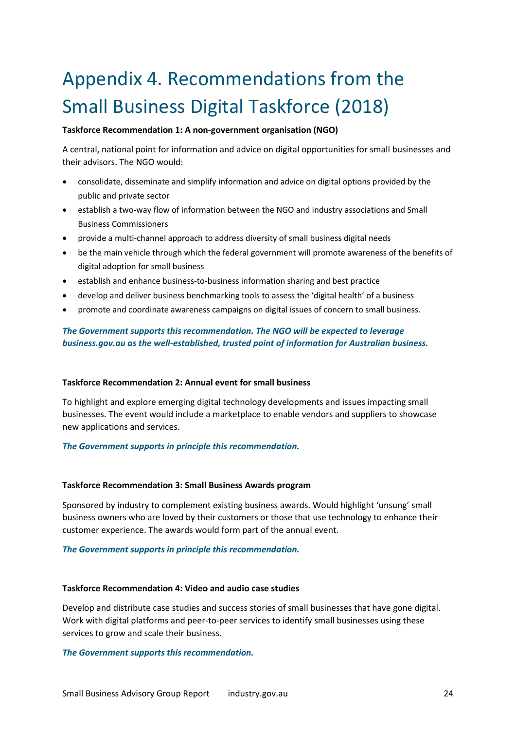# <span id="page-23-0"></span>Appendix 4. Recommendations from the Small Business Digital Taskforce (2018)

#### **Taskforce Recommendation 1: A non-government organisation (NGO)**

A central, national point for information and advice on digital opportunities for small businesses and their advisors. The NGO would:

- consolidate, disseminate and simplify information and advice on digital options provided by the public and private sector
- establish a two-way flow of information between the NGO and industry associations and Small Business Commissioners
- provide a multi-channel approach to address diversity of small business digital needs
- be the main vehicle through which the federal government will promote awareness of the benefits of digital adoption for small business
- establish and enhance business-to-business information sharing and best practice
- develop and deliver business benchmarking tools to assess the 'digital health' of a business
- promote and coordinate awareness campaigns on digital issues of concern to small business.

### *The Government supports this recommendation. The NGO will be expected to leverage business.gov.au as the well-established, trusted point of information for Australian business.*

#### **Taskforce Recommendation 2: Annual event for small business**

To highlight and explore emerging digital technology developments and issues impacting small businesses. The event would include a marketplace to enable vendors and suppliers to showcase new applications and services.

#### *The Government supports in principle this recommendation.*

#### **Taskforce Recommendation 3: Small Business Awards program**

Sponsored by industry to complement existing business awards. Would highlight 'unsung' small business owners who are loved by their customers or those that use technology to enhance their customer experience. The awards would form part of the annual event.

#### *The Government supports in principle this recommendation.*

#### **Taskforce Recommendation 4: Video and audio case studies**

Develop and distribute case studies and success stories of small businesses that have gone digital. Work with digital platforms and peer-to-peer services to identify small businesses using these services to grow and scale their business.

#### *The Government supports this recommendation.*